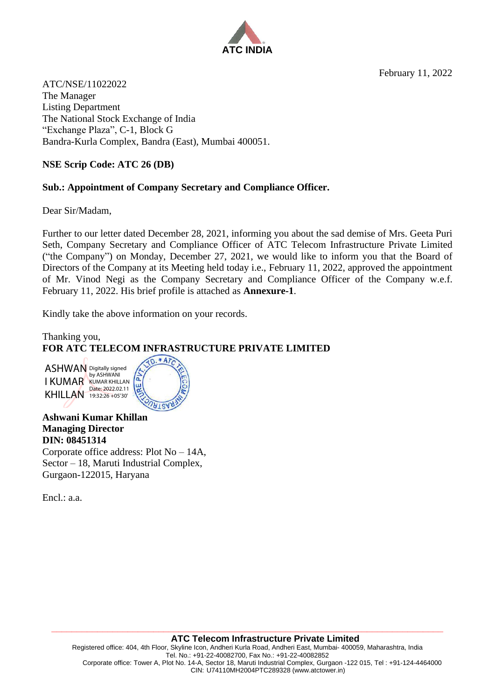February 11, 2022



ATC/NSE/11022022 The Manager Listing Department The National Stock Exchange of India "Exchange Plaza", C-1, Block G Bandra-Kurla Complex, Bandra (East), Mumbai 400051.

## **NSE Scrip Code: ATC 26 (DB)**

## **Sub.: Appointment of Company Secretary and Compliance Officer.**

Dear Sir/Madam,

Further to our letter dated December 28, 2021, informing you about the sad demise of Mrs. Geeta Puri Seth, Company Secretary and Compliance Officer of ATC Telecom Infrastructure Private Limited ("the Company") on Monday, December 27, 2021, we would like to inform you that the Board of Directors of the Company at its Meeting held today i.e., February 11, 2022, approved the appointment of Mr. Vinod Negi as the Company Secretary and Compliance Officer of the Company w.e.f. February 11, 2022. His brief profile is attached as **Annexure-1**.

Kindly take the above information on your records.

Thanking you, **FOR ATC TELECOM INFRASTRUCTURE PRIVATE LIMITED**

ASHWAN Digitally signed I KUMAR KUMAR KHILLAN KHILLAN Date: 2022.02.11 by ASHWANI 19:32:26 +05'30'



**Ashwani Kumar Khillan Managing Director DIN: 08451314** Corporate office address: Plot No – 14A, Sector – 18, Maruti Industrial Complex, Gurgaon-122015, Haryana

Encl.: a.a.

**\_\_\_\_\_\_\_\_\_\_\_\_\_\_\_\_\_\_\_\_\_\_\_\_\_\_\_\_\_\_\_\_\_\_\_\_\_\_\_\_\_\_\_\_\_\_\_\_\_\_\_\_\_\_\_\_\_\_\_\_\_\_\_\_\_\_\_\_\_\_\_\_\_\_\_\_\_**